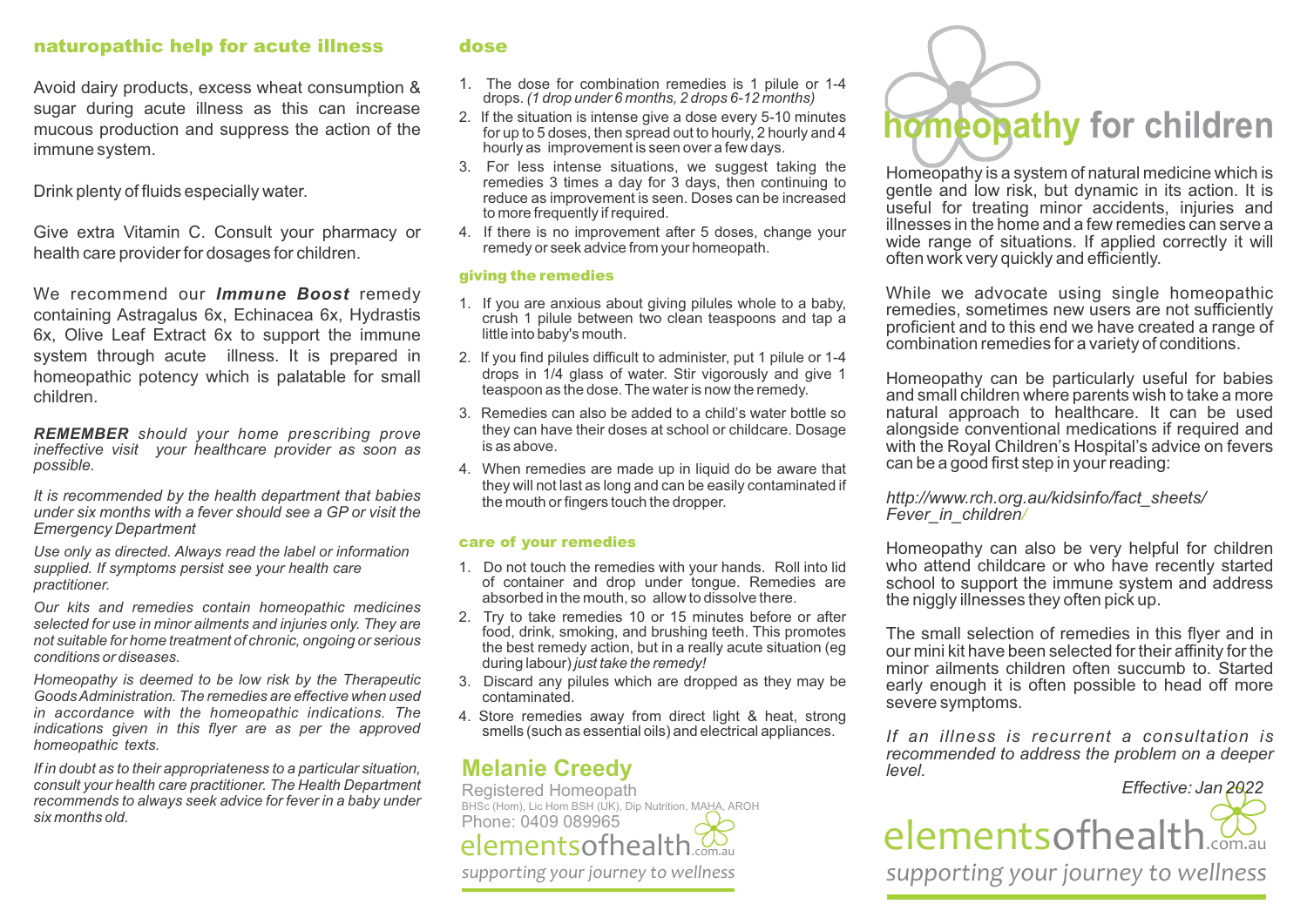## naturopathic help for acute illness

Avoid dairy products, excess wheat consumption & sugar during acute illness as this can increase mucous production and suppress the action of the immune system.

Drink plenty of fluids especially water.

Give extra Vitamin C. Consult your pharmacy or health care provider for dosages for children.

We recommend our *Immune Boost* remedy containing Astragalus 6x, Echinacea 6x, Hydrastis 6x, Olive Leaf Extract 6x to support the immune system through acute illness. It is prepared in homeopathic potency which is palatable for small children.

*REMEMBER should your home prescribing prove ineffective visit your healthcare provider as soon as possible.*

*It is recommended by the health department that babies under six months with a fever should see a GP or visit the Emergency Department*

*Use only as directed. Always read the label or information supplied. If symptoms persist see your health care practitioner.*

*Our kits and remedies contain homeopathic medicines selected for use in minor ailments and injuries only. They are not suitable for home treatment of chronic, ongoing or serious conditions or diseases.*

*Homeopathy is deemed to be low risk by the Therapeutic Goods Administration. The remedies are effective when used in accordance with the homeopathic indications. The indications given in this flyer are as per the approved homeopathic texts.*

*If in doubt as to their appropriateness to a particular situation, consult your health care practitioner. The Health Department recommends to always seek advice for fever in a baby under six months old.*

### dose

- 1. The dose for combination remedies is 1 pilule or 1-4 drops. *(1 drop under 6 months, 2 drops 6-12 months)*
- 2. If the situation is intense give a dose every 5-10 minutes for up to 5 doses, then spread out to hourly, 2 hourly and 4 hourly as improvement is seen over a few days.
- 3. For less intense situations, we suggest taking the remedies 3 times a day for 3 days, then continuing to reduce as improvement is seen. Doses can be increased to more frequently if required.
- 4. If there is no improvement after 5 doses, change your remedy or seek advice from your homeopath.

### giving the remedies

- 1. If you are anxious about giving pilules whole to a baby, crush 1 pilule between two clean teaspoons and tap a little into baby's mouth.
- 2. If you find pilules difficult to administer, put 1 pilule or 1-4 drops in 1/4 glass of water. Stir vigorously and give 1 teaspoon as the dose. The water is now the remedy.
- 3. Remedies can also be added to a child's water bottle so they can have their doses at school or childcare. Dosage is as above.
- 4. When remedies are made up in liquid do be aware that they will not last as long and can be easily contaminated if the mouth or fingers touch the dropper.

#### care of your remedies

- 1. Do not touch the remedies with your hands. Roll into lid of container and drop under tongue. Remedies are absorbed in the mouth, so allow to dissolve there.
- 2. Try to take remedies 10 or 15 minutes before or after food, drink, smoking, and brushing teeth. This promotes the best remedy action, but in a really acute situation (eg during labour) *just take the remedy!*
- 3. Discard any pilules which are dropped as they may be contaminated.
- 4. Store remedies away from direct light & heat, strong smells (such as essential oils) and electrical appliances.

# **Melanie Creedy**

Registered Homeopath BHSc (Hom), Lic Hom BSH (UK), Dip Nutrition, MAHA, AROH Phone: 0409 089965 *supporting your journey to wellness* elementsofhealth



Homeopathy is a system of natural medicine which is gentle and low risk, but dynamic in its action. It is useful for treating minor accidents, injuries and illnesses in the home and a few remedies can serve a wide range of situations. If applied correctly it will often work very quickly and efficiently.

While we advocate using single homeopathic remedies, sometimes new users are not sufficiently proficient and to this end we have created a range of combination remedies for a variety of conditions.

Homeopathy can be particularly useful for babies and small children where parents wish to take a more natural approach to healthcare. It can be used alongside conventional medications if required and with the Royal Children's Hospital's advice on fevers can be a good first step in your reading:

*http://www.rch.org.au/kidsinfo/fact\_sheets/ Fever\_in\_children/*

Homeopathy can also be very helpful for children who attend childcare or who have recently started school to support the immune system and address the niggly illnesses they often pick up.

The small selection of remedies in this flyer and in our mini kit have been selected for their affinity for the minor ailments children often succumb to. Started early enough it is often possible to head off more severe symptoms.

*If an illness is recurrent a consultation is recommended to address the problem on a deeper level.*